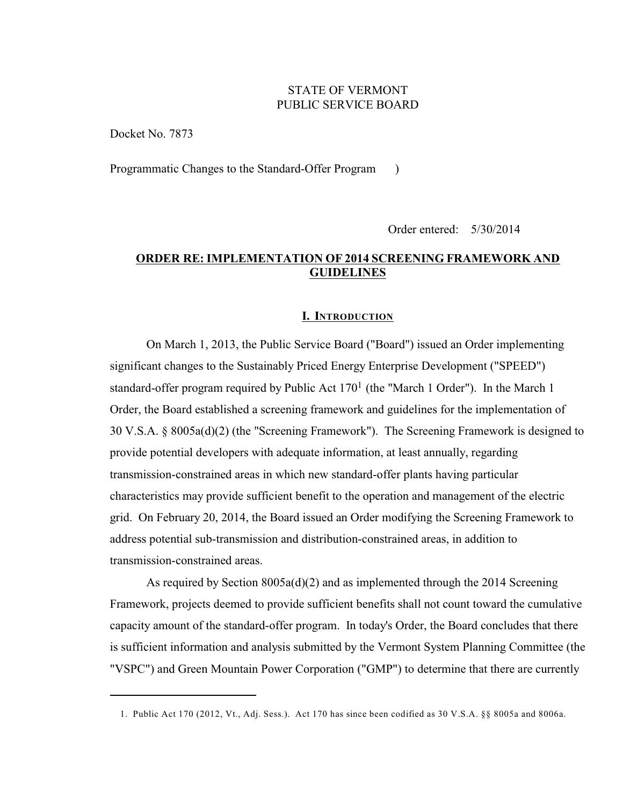# STATE OF VERMONT PUBLIC SERVICE BOARD

Docket No. 7873

Programmatic Changes to the Standard-Offer Program )

Order entered: 5/30/2014

# **ORDER RE: IMPLEMENTATION OF 2014 SCREENING FRAMEWORK AND GUIDELINES**

#### **I. INTRODUCTION**

On March 1, 2013, the Public Service Board ("Board") issued an Order implementing significant changes to the Sustainably Priced Energy Enterprise Development ("SPEED") standard-offer program required by Public Act  $170<sup>1</sup>$  (the "March 1 Order"). In the March 1 Order, the Board established a screening framework and guidelines for the implementation of 30 V.S.A. § 8005a(d)(2) (the "Screening Framework"). The Screening Framework is designed to provide potential developers with adequate information, at least annually, regarding transmission-constrained areas in which new standard-offer plants having particular characteristics may provide sufficient benefit to the operation and management of the electric grid. On February 20, 2014, the Board issued an Order modifying the Screening Framework to address potential sub-transmission and distribution-constrained areas, in addition to transmission-constrained areas.

As required by Section 8005a(d)(2) and as implemented through the 2014 Screening Framework, projects deemed to provide sufficient benefits shall not count toward the cumulative capacity amount of the standard-offer program. In today's Order, the Board concludes that there is sufficient information and analysis submitted by the Vermont System Planning Committee (the "VSPC") and Green Mountain Power Corporation ("GMP") to determine that there are currently

<sup>1.</sup> Public Act 170 (2012, Vt., Adj. Sess.). Act 170 has since been codified as 30 V.S.A. §§ 8005a and 8006a.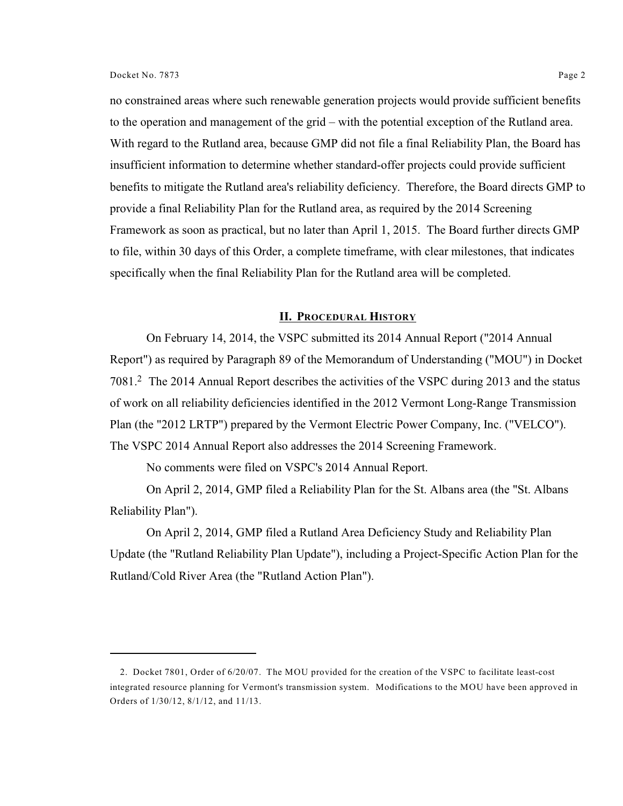no constrained areas where such renewable generation projects would provide sufficient benefits to the operation and management of the grid – with the potential exception of the Rutland area. With regard to the Rutland area, because GMP did not file a final Reliability Plan, the Board has insufficient information to determine whether standard-offer projects could provide sufficient benefits to mitigate the Rutland area's reliability deficiency. Therefore, the Board directs GMP to provide a final Reliability Plan for the Rutland area, as required by the 2014 Screening Framework as soon as practical, but no later than April 1, 2015. The Board further directs GMP to file, within 30 days of this Order, a complete timeframe, with clear milestones, that indicates specifically when the final Reliability Plan for the Rutland area will be completed.

# **II. PROCEDURAL HISTORY**

On February 14, 2014, the VSPC submitted its 2014 Annual Report ("2014 Annual Report") as required by Paragraph 89 of the Memorandum of Understanding ("MOU") in Docket 7081.<sup>2</sup> The 2014 Annual Report describes the activities of the VSPC during 2013 and the status of work on all reliability deficiencies identified in the 2012 Vermont Long-Range Transmission Plan (the "2012 LRTP") prepared by the Vermont Electric Power Company, Inc. ("VELCO"). The VSPC 2014 Annual Report also addresses the 2014 Screening Framework.

No comments were filed on VSPC's 2014 Annual Report.

On April 2, 2014, GMP filed a Reliability Plan for the St. Albans area (the "St. Albans Reliability Plan").

On April 2, 2014, GMP filed a Rutland Area Deficiency Study and Reliability Plan Update (the "Rutland Reliability Plan Update"), including a Project-Specific Action Plan for the Rutland/Cold River Area (the "Rutland Action Plan").

<sup>2.</sup> Docket 7801, Order of 6/20/07. The MOU provided for the creation of the VSPC to facilitate least-cost integrated resource planning for Vermont's transmission system. Modifications to the MOU have been approved in Orders of 1/30/12, 8/1/12, and 11/13.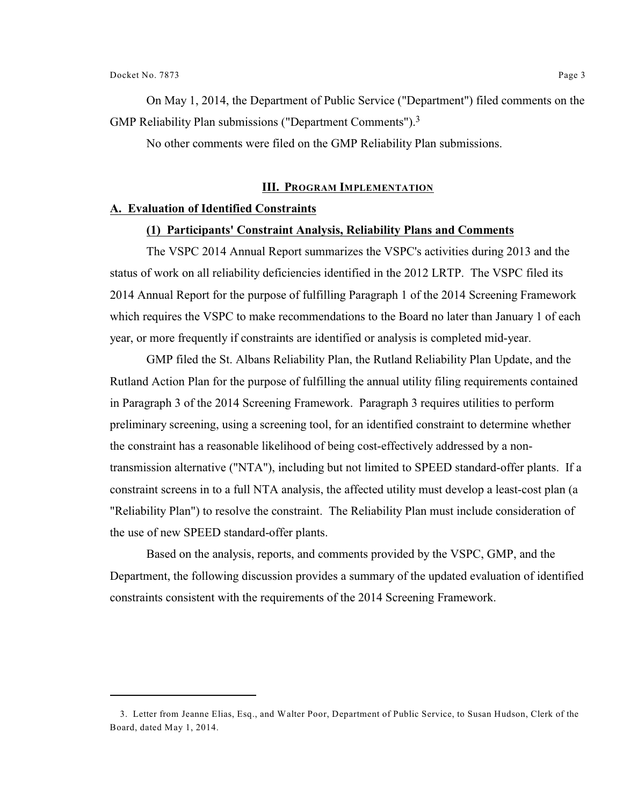On May 1, 2014, the Department of Public Service ("Department") filed comments on the GMP Reliability Plan submissions ("Department Comments").<sup>3</sup>

No other comments were filed on the GMP Reliability Plan submissions.

# **III. PROGRAM IMPLEMENTATION**

## **A. Evaluation of Identified Constraints**

## **(1) Participants' Constraint Analysis, Reliability Plans and Comments**

The VSPC 2014 Annual Report summarizes the VSPC's activities during 2013 and the status of work on all reliability deficiencies identified in the 2012 LRTP. The VSPC filed its 2014 Annual Report for the purpose of fulfilling Paragraph 1 of the 2014 Screening Framework which requires the VSPC to make recommendations to the Board no later than January 1 of each year, or more frequently if constraints are identified or analysis is completed mid-year.

GMP filed the St. Albans Reliability Plan, the Rutland Reliability Plan Update, and the Rutland Action Plan for the purpose of fulfilling the annual utility filing requirements contained in Paragraph 3 of the 2014 Screening Framework. Paragraph 3 requires utilities to perform preliminary screening, using a screening tool, for an identified constraint to determine whether the constraint has a reasonable likelihood of being cost-effectively addressed by a nontransmission alternative ("NTA"), including but not limited to SPEED standard-offer plants. If a constraint screens in to a full NTA analysis, the affected utility must develop a least-cost plan (a "Reliability Plan") to resolve the constraint. The Reliability Plan must include consideration of the use of new SPEED standard-offer plants.

Based on the analysis, reports, and comments provided by the VSPC, GMP, and the Department, the following discussion provides a summary of the updated evaluation of identified constraints consistent with the requirements of the 2014 Screening Framework.

<sup>3.</sup> Letter from Jeanne Elias, Esq., and Walter Poor, Department of Public Service, to Susan Hudson, Clerk of the Board, dated May 1, 2014.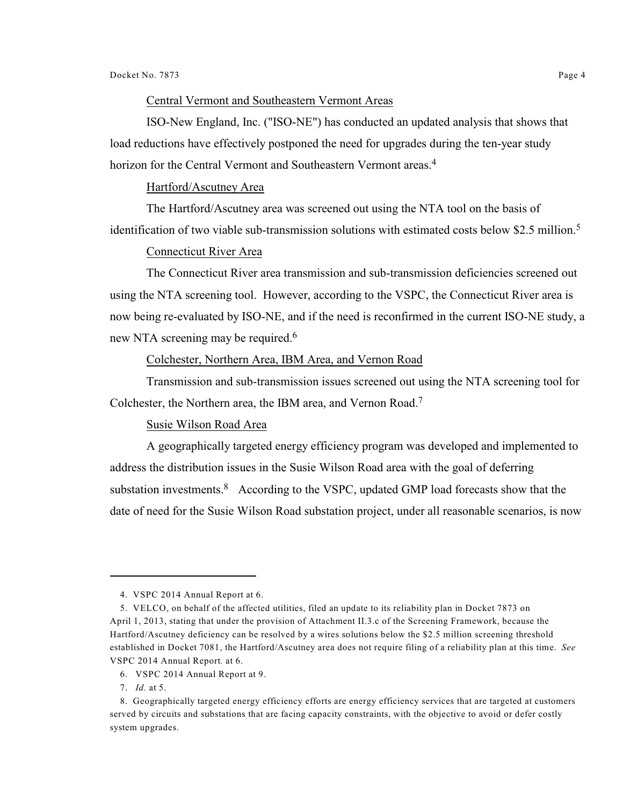# Central Vermont and Southeastern Vermont Areas

ISO-New England, Inc. ("ISO-NE") has conducted an updated analysis that shows that load reductions have effectively postponed the need for upgrades during the ten-year study horizon for the Central Vermont and Southeastern Vermont areas.<sup>4</sup>

# Hartford/Ascutney Area

The Hartford/Ascutney area was screened out using the NTA tool on the basis of identification of two viable sub-transmission solutions with estimated costs below \$2.5 million.<sup>5</sup>

# Connecticut River Area

The Connecticut River area transmission and sub-transmission deficiencies screened out using the NTA screening tool. However, according to the VSPC, the Connecticut River area is now being re-evaluated by ISO-NE, and if the need is reconfirmed in the current ISO-NE study, a new NTA screening may be required.<sup>6</sup>

## Colchester, Northern Area, IBM Area, and Vernon Road

Transmission and sub-transmission issues screened out using the NTA screening tool for Colchester, the Northern area, the IBM area, and Vernon Road.<sup>7</sup>

## Susie Wilson Road Area

A geographically targeted energy efficiency program was developed and implemented to address the distribution issues in the Susie Wilson Road area with the goal of deferring substation investments. According to the VSPC, updated GMP load forecasts show that the date of need for the Susie Wilson Road substation project, under all reasonable scenarios, is now

<sup>4.</sup> VSPC 2014 Annual Report at 6.

<sup>5.</sup> VELCO, on behalf of the affected utilities, filed an update to its reliability plan in Docket 7873 on April 1, 2013, stating that under the provision of Attachment II.3.c of the Screening Framework, because the Hartford/Ascutney deficiency can be resolved by a wires solutions below the \$2.5 million screening threshold established in Docket 7081, the Hartford/Ascutney area does not require filing of a reliability plan at this time. *See* VSPC 2014 Annual Report*.* at 6.

<sup>6.</sup> VSPC 2014 Annual Report at 9.

<sup>7.</sup> *Id.* at 5.

<sup>8.</sup> Geographically targeted energy efficiency efforts are energy efficiency services that are targeted at customers served by circuits and substations that are facing capacity constraints, with the objective to avoid or defer costly system upgrades.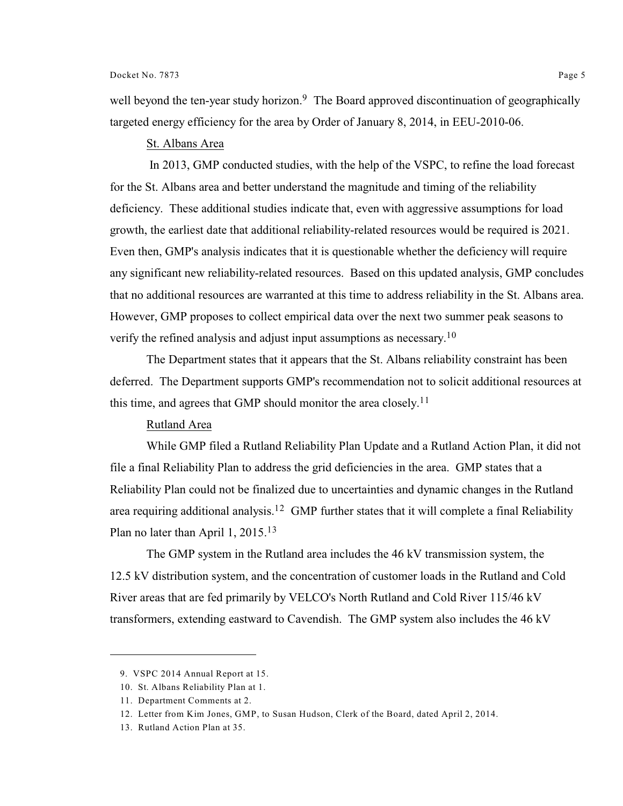well beyond the ten-year study horizon.<sup>9</sup> The Board approved discontinuation of geographically targeted energy efficiency for the area by Order of January 8, 2014, in EEU-2010-06.

#### St. Albans Area

 In 2013, GMP conducted studies, with the help of the VSPC, to refine the load forecast for the St. Albans area and better understand the magnitude and timing of the reliability deficiency. These additional studies indicate that, even with aggressive assumptions for load growth, the earliest date that additional reliability-related resources would be required is 2021. Even then, GMP's analysis indicates that it is questionable whether the deficiency will require any significant new reliability-related resources. Based on this updated analysis, GMP concludes that no additional resources are warranted at this time to address reliability in the St. Albans area. However, GMP proposes to collect empirical data over the next two summer peak seasons to verify the refined analysis and adjust input assumptions as necessary.<sup>10</sup>

The Department states that it appears that the St. Albans reliability constraint has been deferred. The Department supports GMP's recommendation not to solicit additional resources at this time, and agrees that GMP should monitor the area closely.<sup>11</sup>

#### Rutland Area

While GMP filed a Rutland Reliability Plan Update and a Rutland Action Plan, it did not file a final Reliability Plan to address the grid deficiencies in the area. GMP states that a Reliability Plan could not be finalized due to uncertainties and dynamic changes in the Rutland area requiring additional analysis.<sup>12</sup> GMP further states that it will complete a final Reliability Plan no later than April 1, 2015.<sup>13</sup>

The GMP system in the Rutland area includes the 46 kV transmission system, the 12.5 kV distribution system, and the concentration of customer loads in the Rutland and Cold River areas that are fed primarily by VELCO's North Rutland and Cold River 115/46 kV transformers, extending eastward to Cavendish. The GMP system also includes the 46 kV

<sup>9.</sup> VSPC 2014 Annual Report at 15.

<sup>10.</sup> St. Albans Reliability Plan at 1.

<sup>11.</sup> Department Comments at 2.

<sup>12.</sup> Letter from Kim Jones, GMP, to Susan Hudson, Clerk of the Board, dated April 2, 2014.

<sup>13.</sup> Rutland Action Plan at 35.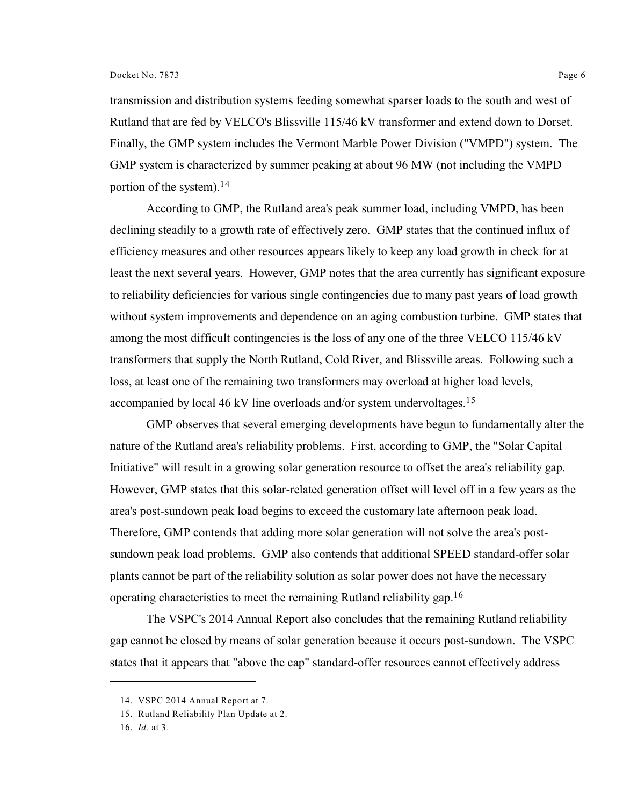transmission and distribution systems feeding somewhat sparser loads to the south and west of Rutland that are fed by VELCO's Blissville 115/46 kV transformer and extend down to Dorset. Finally, the GMP system includes the Vermont Marble Power Division ("VMPD") system. The GMP system is characterized by summer peaking at about 96 MW (not including the VMPD portion of the system).<sup>14</sup>

According to GMP, the Rutland area's peak summer load, including VMPD, has been declining steadily to a growth rate of effectively zero. GMP states that the continued influx of efficiency measures and other resources appears likely to keep any load growth in check for at least the next several years. However, GMP notes that the area currently has significant exposure to reliability deficiencies for various single contingencies due to many past years of load growth without system improvements and dependence on an aging combustion turbine. GMP states that among the most difficult contingencies is the loss of any one of the three VELCO 115/46 kV transformers that supply the North Rutland, Cold River, and Blissville areas. Following such a loss, at least one of the remaining two transformers may overload at higher load levels, accompanied by local 46 kV line overloads and/or system undervoltages.<sup>15</sup>

GMP observes that several emerging developments have begun to fundamentally alter the nature of the Rutland area's reliability problems. First, according to GMP, the "Solar Capital Initiative" will result in a growing solar generation resource to offset the area's reliability gap. However, GMP states that this solar-related generation offset will level off in a few years as the area's post-sundown peak load begins to exceed the customary late afternoon peak load. Therefore, GMP contends that adding more solar generation will not solve the area's postsundown peak load problems. GMP also contends that additional SPEED standard-offer solar plants cannot be part of the reliability solution as solar power does not have the necessary operating characteristics to meet the remaining Rutland reliability gap.<sup>16</sup>

The VSPC's 2014 Annual Report also concludes that the remaining Rutland reliability gap cannot be closed by means of solar generation because it occurs post-sundown. The VSPC states that it appears that "above the cap" standard-offer resources cannot effectively address

<sup>14.</sup> VSPC 2014 Annual Report at 7.

<sup>15.</sup> Rutland Reliability Plan Update at 2.

<sup>16.</sup> *Id.* at 3.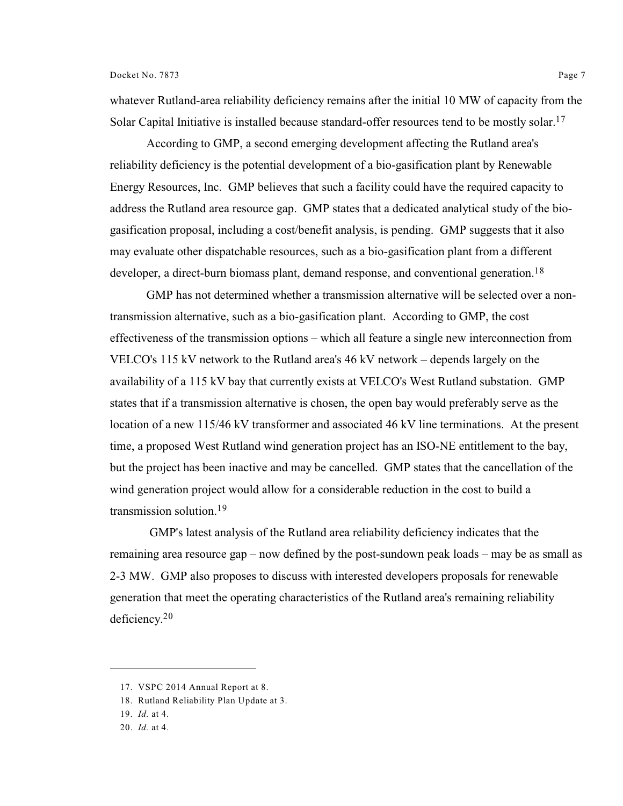whatever Rutland-area reliability deficiency remains after the initial 10 MW of capacity from the Solar Capital Initiative is installed because standard-offer resources tend to be mostly solar.<sup>17</sup>

According to GMP, a second emerging development affecting the Rutland area's reliability deficiency is the potential development of a bio-gasification plant by Renewable Energy Resources, Inc. GMP believes that such a facility could have the required capacity to address the Rutland area resource gap. GMP states that a dedicated analytical study of the biogasification proposal, including a cost/benefit analysis, is pending. GMP suggests that it also may evaluate other dispatchable resources, such as a bio-gasification plant from a different developer, a direct-burn biomass plant, demand response, and conventional generation.<sup>18</sup>

GMP has not determined whether a transmission alternative will be selected over a nontransmission alternative, such as a bio-gasification plant. According to GMP, the cost effectiveness of the transmission options – which all feature a single new interconnection from VELCO's 115 kV network to the Rutland area's 46 kV network – depends largely on the availability of a 115 kV bay that currently exists at VELCO's West Rutland substation. GMP states that if a transmission alternative is chosen, the open bay would preferably serve as the location of a new 115/46 kV transformer and associated 46 kV line terminations. At the present time, a proposed West Rutland wind generation project has an ISO-NE entitlement to the bay, but the project has been inactive and may be cancelled. GMP states that the cancellation of the wind generation project would allow for a considerable reduction in the cost to build a transmission solution.<sup>19</sup>

 GMP's latest analysis of the Rutland area reliability deficiency indicates that the remaining area resource gap – now defined by the post-sundown peak loads – may be as small as 2-3 MW. GMP also proposes to discuss with interested developers proposals for renewable generation that meet the operating characteristics of the Rutland area's remaining reliability deficiency. 20

<sup>17.</sup> VSPC 2014 Annual Report at 8.

<sup>18.</sup> Rutland Reliability Plan Update at 3.

<sup>19.</sup> *Id.* at 4.

<sup>20.</sup> *Id.* at 4.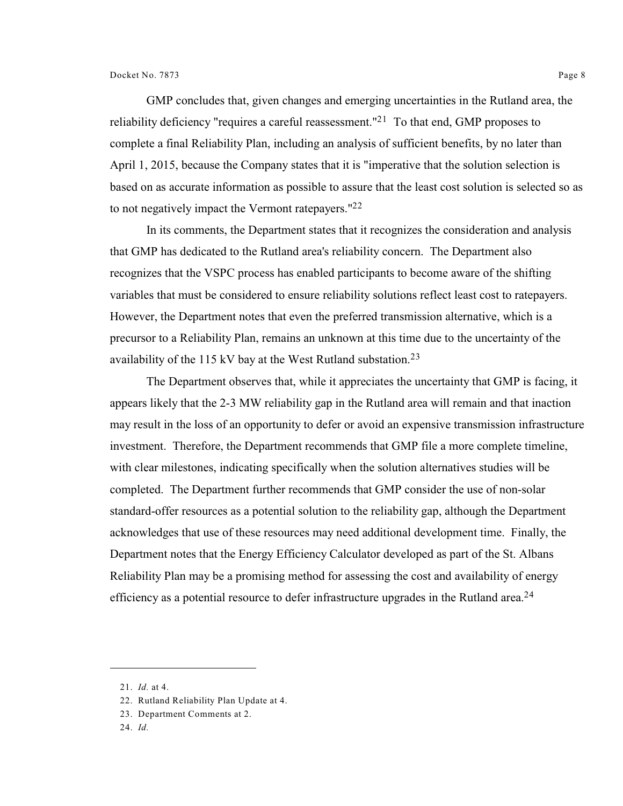GMP concludes that, given changes and emerging uncertainties in the Rutland area, the reliability deficiency "requires a careful reassessment."<sup>21</sup> To that end, GMP proposes to complete a final Reliability Plan, including an analysis of sufficient benefits, by no later than April 1, 2015, because the Company states that it is "imperative that the solution selection is based on as accurate information as possible to assure that the least cost solution is selected so as to not negatively impact the Vermont ratepayers."<sup>22</sup>

In its comments, the Department states that it recognizes the consideration and analysis that GMP has dedicated to the Rutland area's reliability concern. The Department also recognizes that the VSPC process has enabled participants to become aware of the shifting variables that must be considered to ensure reliability solutions reflect least cost to ratepayers. However, the Department notes that even the preferred transmission alternative, which is a precursor to a Reliability Plan, remains an unknown at this time due to the uncertainty of the availability of the 115 kV bay at the West Rutland substation.<sup>23</sup>

The Department observes that, while it appreciates the uncertainty that GMP is facing, it appears likely that the 2-3 MW reliability gap in the Rutland area will remain and that inaction may result in the loss of an opportunity to defer or avoid an expensive transmission infrastructure investment. Therefore, the Department recommends that GMP file a more complete timeline, with clear milestones, indicating specifically when the solution alternatives studies will be completed. The Department further recommends that GMP consider the use of non-solar standard-offer resources as a potential solution to the reliability gap, although the Department acknowledges that use of these resources may need additional development time. Finally, the Department notes that the Energy Efficiency Calculator developed as part of the St. Albans Reliability Plan may be a promising method for assessing the cost and availability of energy efficiency as a potential resource to defer infrastructure upgrades in the Rutland area.<sup>24</sup>

<sup>21.</sup> *Id.* at 4.

<sup>22.</sup> Rutland Reliability Plan Update at 4.

<sup>23.</sup> Department Comments at 2.

<sup>24.</sup> *Id.*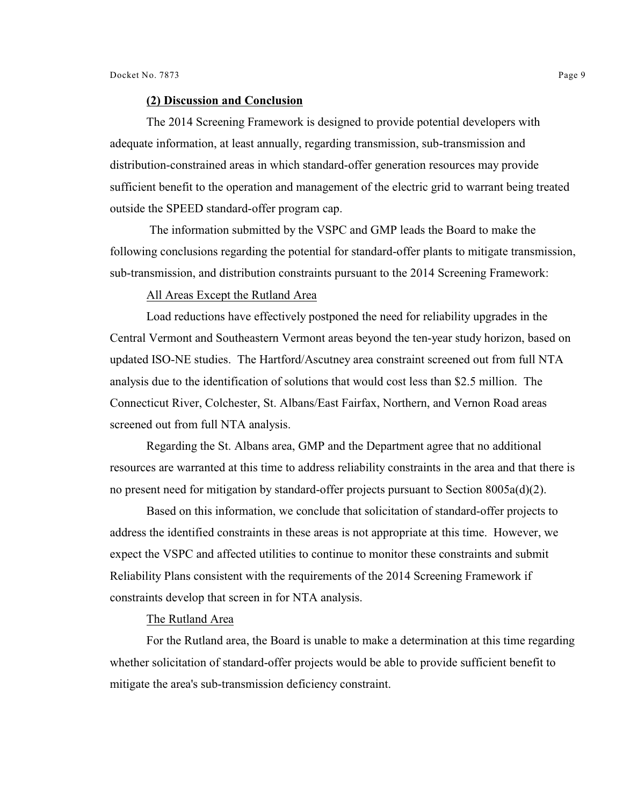#### **(2) Discussion and Conclusion**

The 2014 Screening Framework is designed to provide potential developers with adequate information, at least annually, regarding transmission, sub-transmission and distribution-constrained areas in which standard-offer generation resources may provide sufficient benefit to the operation and management of the electric grid to warrant being treated outside the SPEED standard-offer program cap.

 The information submitted by the VSPC and GMP leads the Board to make the following conclusions regarding the potential for standard-offer plants to mitigate transmission, sub-transmission, and distribution constraints pursuant to the 2014 Screening Framework:

#### All Areas Except the Rutland Area

Load reductions have effectively postponed the need for reliability upgrades in the Central Vermont and Southeastern Vermont areas beyond the ten-year study horizon, based on updated ISO-NE studies. The Hartford/Ascutney area constraint screened out from full NTA analysis due to the identification of solutions that would cost less than \$2.5 million. The Connecticut River, Colchester, St. Albans/East Fairfax, Northern, and Vernon Road areas screened out from full NTA analysis.

Regarding the St. Albans area, GMP and the Department agree that no additional resources are warranted at this time to address reliability constraints in the area and that there is no present need for mitigation by standard-offer projects pursuant to Section 8005a(d)(2).

Based on this information, we conclude that solicitation of standard-offer projects to address the identified constraints in these areas is not appropriate at this time. However, we expect the VSPC and affected utilities to continue to monitor these constraints and submit Reliability Plans consistent with the requirements of the 2014 Screening Framework if constraints develop that screen in for NTA analysis.

#### The Rutland Area

For the Rutland area, the Board is unable to make a determination at this time regarding whether solicitation of standard-offer projects would be able to provide sufficient benefit to mitigate the area's sub-transmission deficiency constraint.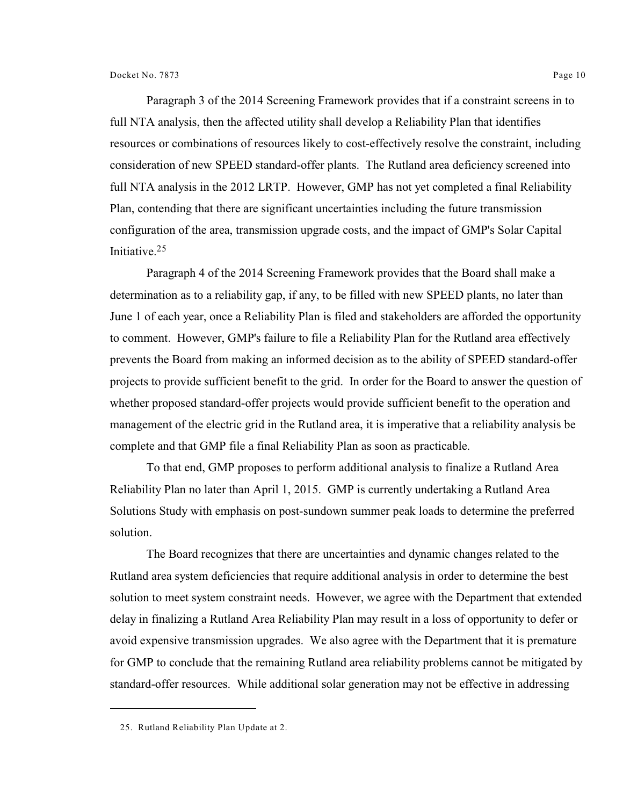Paragraph 3 of the 2014 Screening Framework provides that if a constraint screens in to full NTA analysis, then the affected utility shall develop a Reliability Plan that identifies resources or combinations of resources likely to cost-effectively resolve the constraint, including consideration of new SPEED standard-offer plants. The Rutland area deficiency screened into full NTA analysis in the 2012 LRTP. However, GMP has not yet completed a final Reliability Plan, contending that there are significant uncertainties including the future transmission configuration of the area, transmission upgrade costs, and the impact of GMP's Solar Capital Initiative.<sup>25</sup>

Paragraph 4 of the 2014 Screening Framework provides that the Board shall make a determination as to a reliability gap, if any, to be filled with new SPEED plants, no later than June 1 of each year, once a Reliability Plan is filed and stakeholders are afforded the opportunity to comment. However, GMP's failure to file a Reliability Plan for the Rutland area effectively prevents the Board from making an informed decision as to the ability of SPEED standard-offer projects to provide sufficient benefit to the grid. In order for the Board to answer the question of whether proposed standard-offer projects would provide sufficient benefit to the operation and management of the electric grid in the Rutland area, it is imperative that a reliability analysis be complete and that GMP file a final Reliability Plan as soon as practicable.

To that end, GMP proposes to perform additional analysis to finalize a Rutland Area Reliability Plan no later than April 1, 2015. GMP is currently undertaking a Rutland Area Solutions Study with emphasis on post-sundown summer peak loads to determine the preferred solution.

The Board recognizes that there are uncertainties and dynamic changes related to the Rutland area system deficiencies that require additional analysis in order to determine the best solution to meet system constraint needs. However, we agree with the Department that extended delay in finalizing a Rutland Area Reliability Plan may result in a loss of opportunity to defer or avoid expensive transmission upgrades. We also agree with the Department that it is premature for GMP to conclude that the remaining Rutland area reliability problems cannot be mitigated by standard-offer resources. While additional solar generation may not be effective in addressing

<sup>25.</sup> Rutland Reliability Plan Update at 2.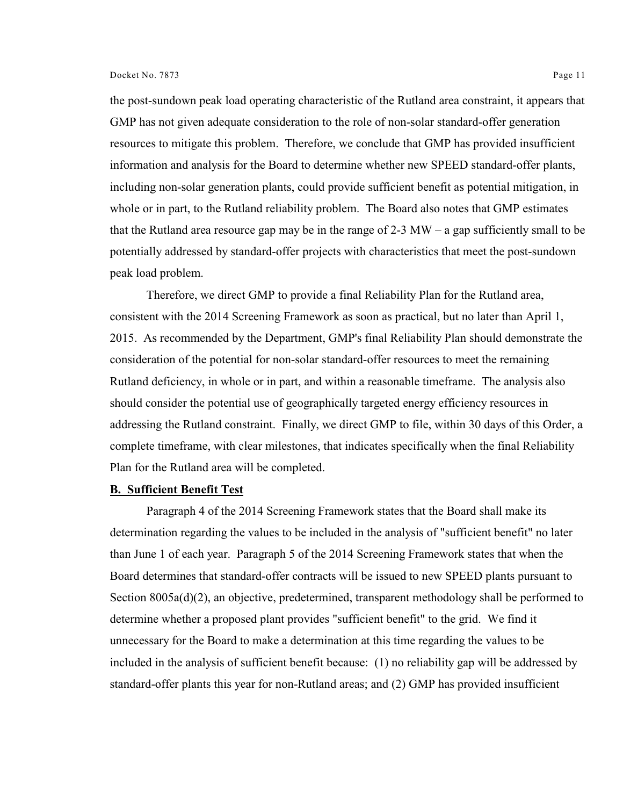the post-sundown peak load operating characteristic of the Rutland area constraint, it appears that GMP has not given adequate consideration to the role of non-solar standard-offer generation resources to mitigate this problem. Therefore, we conclude that GMP has provided insufficient information and analysis for the Board to determine whether new SPEED standard-offer plants, including non-solar generation plants, could provide sufficient benefit as potential mitigation, in whole or in part, to the Rutland reliability problem. The Board also notes that GMP estimates that the Rutland area resource gap may be in the range of  $2-3$  MW – a gap sufficiently small to be potentially addressed by standard-offer projects with characteristics that meet the post-sundown peak load problem.

Therefore, we direct GMP to provide a final Reliability Plan for the Rutland area, consistent with the 2014 Screening Framework as soon as practical, but no later than April 1, 2015. As recommended by the Department, GMP's final Reliability Plan should demonstrate the consideration of the potential for non-solar standard-offer resources to meet the remaining Rutland deficiency, in whole or in part, and within a reasonable timeframe. The analysis also should consider the potential use of geographically targeted energy efficiency resources in addressing the Rutland constraint. Finally, we direct GMP to file, within 30 days of this Order, a complete timeframe, with clear milestones, that indicates specifically when the final Reliability Plan for the Rutland area will be completed.

#### **B. Sufficient Benefit Test**

Paragraph 4 of the 2014 Screening Framework states that the Board shall make its determination regarding the values to be included in the analysis of "sufficient benefit" no later than June 1 of each year. Paragraph 5 of the 2014 Screening Framework states that when the Board determines that standard-offer contracts will be issued to new SPEED plants pursuant to Section 8005a(d)(2), an objective, predetermined, transparent methodology shall be performed to determine whether a proposed plant provides "sufficient benefit" to the grid. We find it unnecessary for the Board to make a determination at this time regarding the values to be included in the analysis of sufficient benefit because: (1) no reliability gap will be addressed by standard-offer plants this year for non-Rutland areas; and (2) GMP has provided insufficient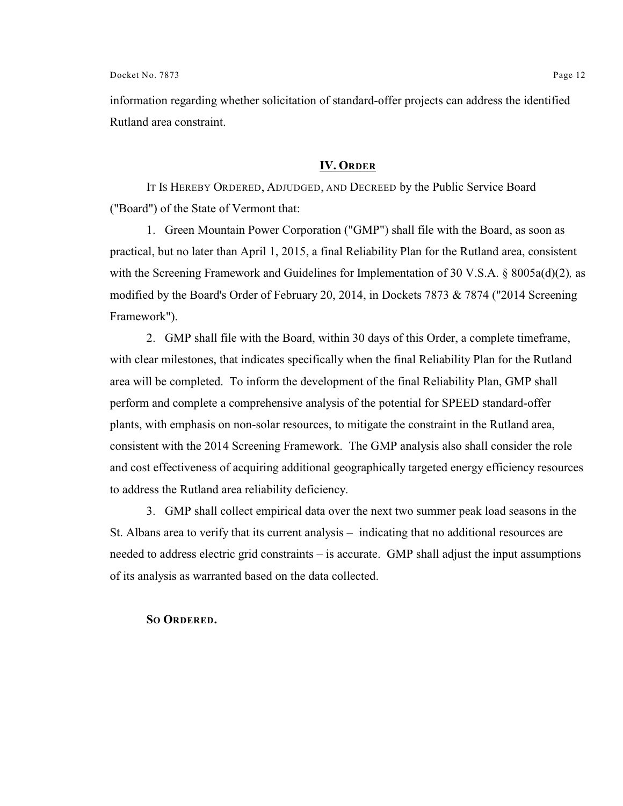information regarding whether solicitation of standard-offer projects can address the identified Rutland area constraint.

### **IV. ORDER**

IT IS HEREBY ORDERED, ADJUDGED, AND DECREED by the Public Service Board ("Board") of the State of Vermont that:

1. Green Mountain Power Corporation ("GMP") shall file with the Board, as soon as practical, but no later than April 1, 2015, a final Reliability Plan for the Rutland area, consistent with the Screening Framework and Guidelines for Implementation of 30 V.S.A. § 8005a(d)(2)*,* as modified by the Board's Order of February 20, 2014, in Dockets 7873 & 7874 ("2014 Screening Framework").

2. GMP shall file with the Board, within 30 days of this Order, a complete timeframe, with clear milestones, that indicates specifically when the final Reliability Plan for the Rutland area will be completed. To inform the development of the final Reliability Plan, GMP shall perform and complete a comprehensive analysis of the potential for SPEED standard-offer plants, with emphasis on non-solar resources, to mitigate the constraint in the Rutland area, consistent with the 2014 Screening Framework. The GMP analysis also shall consider the role and cost effectiveness of acquiring additional geographically targeted energy efficiency resources to address the Rutland area reliability deficiency.

3. GMP shall collect empirical data over the next two summer peak load seasons in the St. Albans area to verify that its current analysis – indicating that no additional resources are needed to address electric grid constraints – is accurate. GMP shall adjust the input assumptions of its analysis as warranted based on the data collected.

#### **SO ORDERED.**